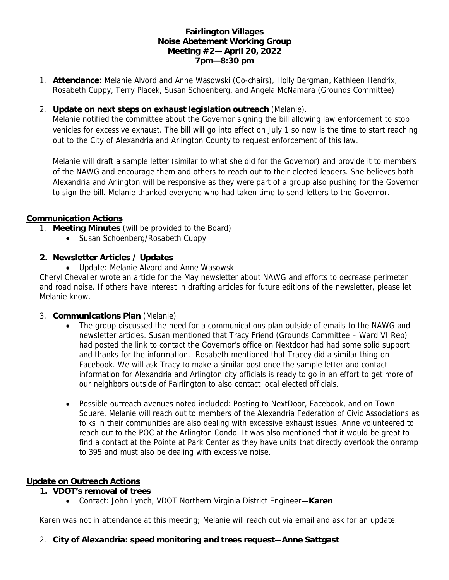## **Fairlington Villages Noise Abatement Working Group Meeting #2— April 20, 2022 7pm—8:30 pm**

- 1. **Attendance:** Melanie Alvord and Anne Wasowski (Co-chairs), Holly Bergman, Kathleen Hendrix, Rosabeth Cuppy, Terry Placek, Susan Schoenberg, and Angela McNamara (Grounds Committee)
- 2. **Update on next steps on exhaust legislation outreach** (Melanie).

Melanie notified the committee about the Governor signing the bill allowing law enforcement to stop vehicles for excessive exhaust. The bill will go into effect on July 1 so now is the time to start reaching out to the City of Alexandria and Arlington County to request enforcement of this law.

Melanie will draft a sample letter (similar to what she did for the Governor) and provide it to members of the NAWG and encourage them and others to reach out to their elected leaders. She believes both Alexandria and Arlington will be responsive as they were part of a group also pushing for the Governor to sign the bill. Melanie thanked everyone who had taken time to send letters to the Governor.

## **Communication Actions**

- 1. **Meeting Minutes** (will be provided to the Board)
	- Susan Schoenberg/Rosabeth Cuppy
- **2. Newsletter Articles / Updates**
	- Update: Melanie Alvord and Anne Wasowski

Cheryl Chevalier wrote an article for the May newsletter about NAWG and efforts to decrease perimeter and road noise. If others have interest in drafting articles for future editions of the newsletter, please let Melanie know.

- 3. **Communications Plan** (Melanie)
	- The group discussed the need for a communications plan outside of emails to the NAWG and newsletter articles. Susan mentioned that Tracy Friend (Grounds Committee – Ward VI Rep) had posted the link to contact the Governor's office on Nextdoor had had some solid support and thanks for the information. Rosabeth mentioned that Tracey did a similar thing on Facebook. We will ask Tracy to make a similar post once the sample letter and contact information for Alexandria and Arlington city officials is ready to go in an effort to get more of our neighbors outside of Fairlington to also contact local elected officials.
	- Possible outreach avenues noted included: Posting to NextDoor, Facebook, and on Town Square. Melanie will reach out to members of the Alexandria Federation of Civic Associations as folks in their communities are also dealing with excessive exhaust issues. Anne volunteered to reach out to the POC at the Arlington Condo. It was also mentioned that it would be great to find a contact at the Pointe at Park Center as they have units that directly overlook the onramp to 395 and must also be dealing with excessive noise.

#### **Update on Outreach Actions**

- **1. VDOT's removal of trees**
	- Contact: John Lynch, VDOT Northern Virginia District Engineer—**Karen**

Karen was not in attendance at this meeting; Melanie will reach out via email and ask for an update.

2. **City of Alexandria: speed monitoring and trees request**—**Anne Sattgast**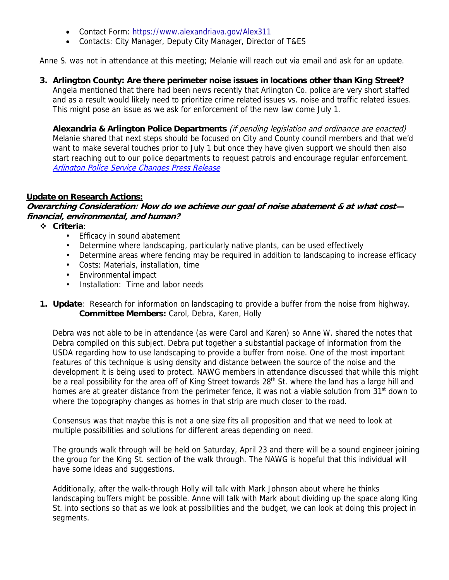- Contact Form: https://www.alexandriava.gov/Alex311
- Contacts: City Manager, Deputy City Manager, Director of T&ES

Anne S. was not in attendance at this meeting; Melanie will reach out via email and ask for an update.

**3. Arlington County: Are there perimeter noise issues in locations other than King Street?** Angela mentioned that there had been news recently that Arlington Co. police are very short staffed and as a result would likely need to prioritize crime related issues vs. noise and traffic related issues. This might pose an issue as we ask for enforcement of the new law come July 1.

**Alexandria & Arlington Police Departments** (if pending legislation and ordinance are enacted) Melanie shared that next steps should be focused on City and County council members and that we'd want to make several touches prior to July 1 but once they have given support we should then also start reaching out to our police departments to request patrols and encourage regular enforcement. Arlington Police Service Changes Press Release

## **Update on Research Actions:**

**Overarching Consideration: How do we achieve our goal of noise abatement & at what cost financial, environmental, and human?**

**Criteria**:

- Efficacy in sound abatement
- Determine where landscaping, particularly native plants, can be used effectively
- Determine areas where fencing may be required in addition to landscaping to increase efficacy
- Costs: Materials, installation, time
- Environmental impact
- Installation: Time and labor needs
- **1. Update**: Research for information on landscaping to provide a buffer from the noise from highway. **Committee Members:** Carol, Debra, Karen, Holly

Debra was not able to be in attendance (as were Carol and Karen) so Anne W. shared the notes that Debra compiled on this subject. Debra put together a substantial package of information from the USDA regarding how to use landscaping to provide a buffer from noise. One of the most important features of this technique is using density and distance between the source of the noise and the development it is being used to protect. NAWG members in attendance discussed that while this might be a real possibility for the area off of King Street towards 28<sup>th</sup> St. where the land has a large hill and homes are at greater distance from the perimeter fence, it was not a viable solution from 31<sup>st</sup> down to where the topography changes as homes in that strip are much closer to the road.

Consensus was that maybe this is not a one size fits all proposition and that we need to look at multiple possibilities and solutions for different areas depending on need.

The grounds walk through will be held on Saturday, April 23 and there will be a sound engineer joining the group for the King St. section of the walk through. The NAWG is hopeful that this individual will have some ideas and suggestions.

Additionally, after the walk-through Holly will talk with Mark Johnson about where he thinks landscaping buffers might be possible. Anne will talk with Mark about dividing up the space along King St. into sections so that as we look at possibilities and the budget, we can look at doing this project in segments.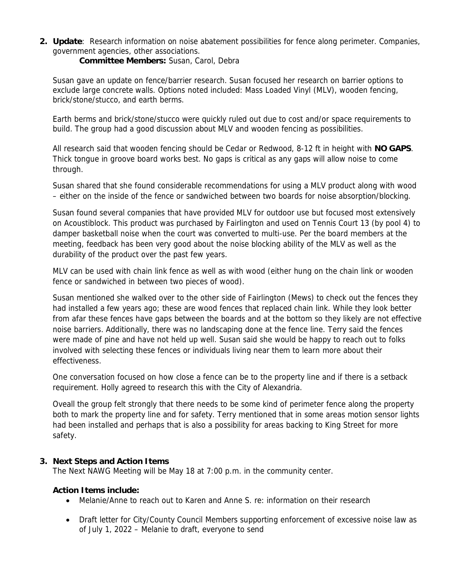**2. Update**: Research information on noise abatement possibilities for fence along perimeter. Companies, government agencies, other associations.

**Committee Members:** Susan, Carol, Debra

Susan gave an update on fence/barrier research. Susan focused her research on barrier options to exclude large concrete walls. Options noted included: Mass Loaded Vinyl (MLV), wooden fencing, brick/stone/stucco, and earth berms.

Earth berms and brick/stone/stucco were quickly ruled out due to cost and/or space requirements to build. The group had a good discussion about MLV and wooden fencing as possibilities.

All research said that wooden fencing should be Cedar or Redwood, 8-12 ft in height with **NO GAPS**. Thick tongue in groove board works best. No gaps is critical as any gaps will allow noise to come through.

Susan shared that she found considerable recommendations for using a MLV product along with wood – either on the inside of the fence or sandwiched between two boards for noise absorption/blocking.

Susan found several companies that have provided MLV for outdoor use but focused most extensively on Acoustiblock. This product was purchased by Fairlington and used on Tennis Court 13 (by pool 4) to damper basketball noise when the court was converted to multi-use. Per the board members at the meeting, feedback has been very good about the noise blocking ability of the MLV as well as the durability of the product over the past few years.

MLV can be used with chain link fence as well as with wood (either hung on the chain link or wooden fence or sandwiched in between two pieces of wood).

Susan mentioned she walked over to the other side of Fairlington (Mews) to check out the fences they had installed a few years ago; these are wood fences that replaced chain link. While they look better from afar these fences have gaps between the boards and at the bottom so they likely are not effective noise barriers. Additionally, there was no landscaping done at the fence line. Terry said the fences were made of pine and have not held up well. Susan said she would be happy to reach out to folks involved with selecting these fences or individuals living near them to learn more about their effectiveness.

One conversation focused on how close a fence can be to the property line and if there is a setback requirement. Holly agreed to research this with the City of Alexandria.

Oveall the group felt strongly that there needs to be some kind of perimeter fence along the property both to mark the property line and for safety. Terry mentioned that in some areas motion sensor lights had been installed and perhaps that is also a possibility for areas backing to King Street for more safety.

# **3. Next Steps and Action Items**

The Next NAWG Meeting will be May 18 at 7:00 p.m. in the community center.

**Action Items include:**

- Melanie/Anne to reach out to Karen and Anne S. re: information on their research
- Draft letter for City/County Council Members supporting enforcement of excessive noise law as of July 1, 2022 – Melanie to draft, everyone to send